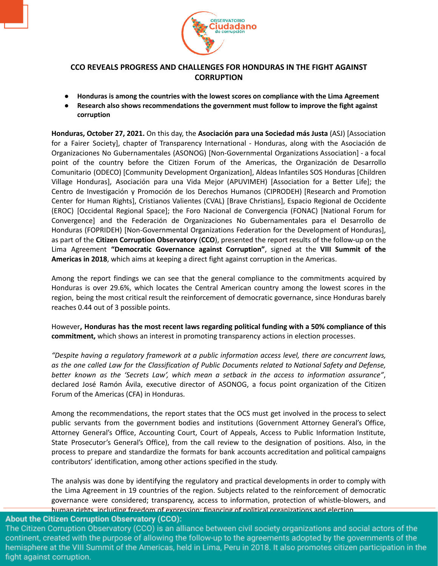

## **CCO REVEALS PROGRESS AND CHALLENGES FOR HONDURAS IN THE FIGHT AGAINST CORRUPTION**

- **● Honduras is among the countries with the lowest scores on compliance with the Lima Agreement**
- **Research also shows recommendations the government must follow to improve the fight against corruption**

**Honduras, October 27, 2021.** On this day, the **Asociación para una Sociedad más Justa** (ASJ) [Association for a Fairer Society], chapter of Transparency International - Honduras, along with the Asociación de Organizaciones No Gubernamentales (ASONOG) [Non-Governmental Organizations Association] - a focal point of the country before the Citizen Forum of the Americas, the Organización de Desarrollo Comunitario (ODECO) [Community Development Organization], Aldeas Infantiles SOS Honduras [Children Village Honduras], Asociación para una Vida Mejor (APUVIMEH) [Association for a Better Life]; the Centro de Investigación y Promoción de los Derechos Humanos (CIPRODEH) [Research and Promotion Center for Human Rights], Cristianos Valientes (CVAL) [Brave Christians], Espacio Regional de Occidente (EROC) [Occidental Regional Space]; the Foro Nacional de Convergencia (FONAC) [National Forum for Convergence] and the Federación de Organizaciones No Gubernamentales para el Desarrollo de Honduras (FOPRIDEH) [Non-Governmental Organizations Federation for the Development of Honduras], as part of the **Citizen Corruption Observatory** (**CCO**), presented the report results of the follow-up on the Lima Agreement **"Democratic Governance against Corruption"**, signed at the **VIII Summit of the Americas in 2018**, which aims at keeping a direct fight against corruption in the Americas.

Among the report findings we can see that the general compliance to the commitments acquired by Honduras is over 29.6%, which locates the Central American country among the lowest scores in the region, being the most critical result the reinforcement of democratic governance, since Honduras barely reaches 0.44 out of 3 possible points.

However**, Honduras has the most recent laws regarding political funding with a 50% compliance of this commitment,** which shows an interest in promoting transparency actions in election processes.

*"Despite having a regulatory framework at a public information access level, there are concurrent laws, as the one called Law for the Classification of Public Documents related to National Safety and Defense, better known as the 'Secrets Law', which mean a setback in the access to information assurance"*, declared José Ramón Ávila, executive director of ASONOG, a focus point organization of the Citizen Forum of the Americas (CFA) in Honduras.

Among the recommendations, the report states that the OCS must get involved in the process to select public servants from the government bodies and institutions (Government Attorney General's Office, Attorney General's Office, Accounting Court, Court of Appeals, Access to Public Information Institute, State Prosecutor's General's Office), from the call review to the designation of positions. Also, in the process to prepare and standardize the formats for bank accounts accreditation and political campaigns contributors' identification, among other actions specified in the study.

The analysis was done by identifying the regulatory and practical developments in order to comply with the Lima Agreement in 19 countries of the region. Subjects related to the reinforcement of democratic governance were considered; transparency, access to information, protection of whistle-blowers, and human rights, including freedom of expression; financing of political organizations and election

## **About the Citizen Corruption Observatory (CCO):**

The Citizen Corruption Observatory (CCO) is an alliance between civil society organizations and social actors of the continent, created with the purpose of allowing the follow-up to the agreements adopted by the governments of the hemisphere at the VIII Summit of the Americas, held in Lima, Peru in 2018. It also promotes citizen participation in the fight against corruption.